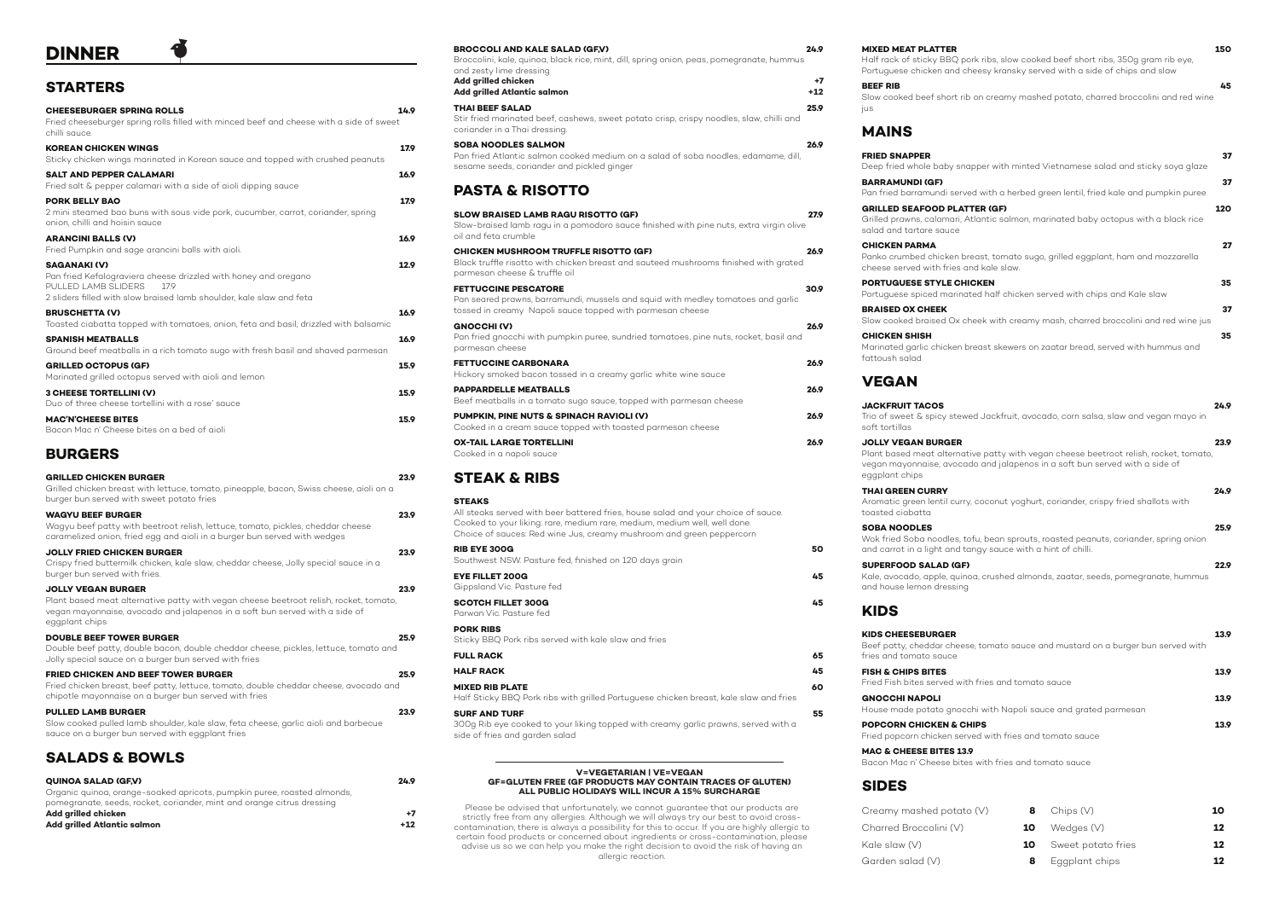# **DINNER**

### **STARTERS**

| <b>CHEESEBURGER SPRING ROLLS</b><br>Fried cheeseburger spring rolls filled with minced beef and cheese with a side of sweet<br>chilli sauce                                                  | 14.9 |
|----------------------------------------------------------------------------------------------------------------------------------------------------------------------------------------------|------|
| <b>KOREAN CHICKEN WINGS</b><br>Sticky chicken wings marinated in Korean sauce and topped with crushed peanuts                                                                                | 17.9 |
| <b>SALT AND PEPPER CALAMARI</b><br>Fried salt & pepper calamari with a side of aioli dipping sauce                                                                                           | 16.9 |
| <b>PORK BELLY BAO</b><br>2 mini steamed bao buns with sous vide pork, cucumber, carrot, coriander, spring<br>onion, chilli and hoisin sauce                                                  | 17.9 |
| <b>ARANCINI BALLS (V)</b><br>Fried Pumpkin and sage arancini balls with aioli.                                                                                                               | 16.9 |
| <b>SAGANAKI (V)</b><br>Pan fried Kefalograviera cheese drizzled with honey and oregano<br>PULLED LAMB SLIDERS<br>179<br>2 sliders filled with slow braised lamb shoulder, kale slaw and feta | 12.9 |
| <b>BRUSCHETTA (V)</b><br>Toasted ciabatta topped with tomatoes, onion, feta and basil, drizzled with balsamic                                                                                | 16.9 |
| <b>SPANISH MEATBALLS</b><br>Ground beef meatballs in a rich tomato sugo with fresh basil and shaved parmesan                                                                                 | 16.9 |
| <b>GRILLED OCTOPUS (GF)</b><br>Marinated grilled octopus served with aioli and lemon                                                                                                         | 15.9 |
| <b>3 CHEESE TORTELLINI (V)</b><br>Duo of three cheese tortellini with a rose' sauce                                                                                                          | 15.9 |
| <b>MAC'N'CHEESE BITES</b><br>Bacon Mac n' Cheese bites on a bed of aioli                                                                                                                     | 15.9 |
| <b>BURGERS</b>                                                                                                                                                                               |      |
|                                                                                                                                                                                              |      |

| <b>GRILLED CHICKEN BURGER</b><br>Grilled chicken breast with lettuce, tomato, pineapple, bacon, Swiss cheese, aioli on a<br>burger bun served with sweet potato fries                                               | 23.9 |
|---------------------------------------------------------------------------------------------------------------------------------------------------------------------------------------------------------------------|------|
| <b>WAGYU BEEF BURGER</b><br>Wagyu beef patty with beetroot relish, lettuce, tomato, pickles, cheddar cheese<br>caramelized onion, fried egg and aioli in a burger bun served with wedges                            | 23.9 |
| <b>JOLLY FRIED CHICKEN BURGER</b><br>Crispy fried buttermilk chicken, kale slaw, cheddar cheese, Jolly special sauce in a<br>burger bun served with fries.                                                          | 23.9 |
| <b>JOLLY VEGAN BURGER</b><br>Plant based meat alternative patty with vegan cheese beetroot relish, rocket, tomato,<br>vegan mayonnaise, avocado and jalapenos in a soft bun served with a side of<br>eggplant chips | 23.9 |
| <b>DOUBLE BEEF TOWER BURGER</b><br>Double beef patty, double bacon, double cheddar cheese, pickles, lettuce, tomato and<br>Jolly special sauce on a burger bun served with fries                                    | 25.9 |
| <b>FRIED CHICKEN AND BEEF TOWER BURGER</b><br>Fried chicken breast, beef patty, lettuce, tomato, double cheddar cheese, avocado and<br>chipotle mayonnaise on a burger bun served with fries                        | 25.9 |
| <b>PULLED LAMB BURGER</b><br>Slow cooked pulled lamb shoulder, kale slaw, feta cheese, garlic aioli and barbecue<br>sauce on a burger bun served with eggplant fries                                                | 23.9 |
| <b>SALADS &amp; BOWLS</b>                                                                                                                                                                                           |      |

| <b>QUINOA SALAD (GF.V)</b>                                              | 24.9  |
|-------------------------------------------------------------------------|-------|
| Organic quinoa, orange-soaked apricots, pumpkin puree, roasted almonds, |       |
| pomegranate, seeds, rocket, coriander, mint and orange citrus dressing  |       |
| Add grilled chicken                                                     | +7    |
| Add grilled Atlantic salmon                                             | $+12$ |
|                                                                         |       |

**FRIED SNAPPER 37** Deep fried whole baby sna

**BARRAMUNDI (GF)** Pan fried barramundi serv

#### **BROCCOLI AND KALE SALAD (GF,V) 24.9**

Broccolini, kale, quinoa, black rice, mint, dill, spring onion, peas, pomegranate, hummus and zesty lime dressing **Add grilled chicken +7**

**Add grilled Atlantic salmon** 

**GRILLED SEAFOOD PLAT** Grilled prawns, calamari, A salad and tartare sauce

**CHICKEN PARMA 27** Panko crumbed chicken br cheese served with fries a

**PORTUGUESE STYLE CHI** Portuguese spiced marina

**BRAISED OX CHEEK 37** Slow cooked braised Ox cheek

#### **THAI BEEF SALAD 25.9** Stir fried marinated beef, cashews, sweet potato crisp, crispy noodles, slaw, chilli and coriander in a Thai dressing.

**CHICKEN SHISH 35** Marinated garlic chicken b

# **SOBA NOODLES SALMON 26.9**

Pan fried Atlantic salmon cooked medium on a salad of soba noodles, edamame, dill, sesame seeds, coriander and pickled ginger

### **PASTA & RISOTTO**

Kale, avocado, apple, quin and house lemon dressing

**GNOCCHI NAPOLI 13.9** House made potato gnoc

**POPCORN CHICKEN & CI** Fried popcorn chicken ser

| <b>SLOW BRAISED LAMB RAGU RISOTTO (GF)</b><br>Slow-braised lamb ragu in a pomodoro sauce finished with pine nuts, extra virgin olive<br>oil and feta crumble                 | 27.9 |
|------------------------------------------------------------------------------------------------------------------------------------------------------------------------------|------|
| CHICKEN MUSHROOM TRUFFLE RISOTTO (GF)<br>Black truffle risotto with chicken breast and sauteed mushrooms finished with grated<br>parmesan cheese & truffle oil               | 26.9 |
| <b>FETTUCCINE PESCATORE</b><br>Pan seared prawns, barramundi, mussels and squid with medley tomatoes and garlic<br>tossed in creamy Napoli sauce topped with parmesan cheese | 30.9 |
| <b>GNOCCHI (V)</b><br>Pan fried gnocchi with pumpkin puree, sundried tomatoes, pine nuts, rocket, basil and<br>parmesan cheese                                               | 26.9 |
| <b>FETTUCCINE CARBONARA</b><br>Hickory smoked bacon tossed in a creamy agric white wine squee                                                                                | 26.9 |

Creamy mashed potato Charred Broccolini (V) **10** Kale slaw (V) Garden salad (V) **8**

| Thomas of thomas pubblic todded in a creatily game write. While dudee                                   |      |
|---------------------------------------------------------------------------------------------------------|------|
| <b>PAPPARDELLE MEATBALLS</b>                                                                            | 26.9 |
| Beef meatballs in a tomato sugo sauce, topped with parmesan cheese                                      |      |
| PUMPKIN, PINE NUTS & SPINACH RAVIOLI (V)<br>Cooked in a cream sauce topped with toasted parmesan cheese | 26.9 |

**OX-TAIL LARGE TORTELLINI 26.9** Cooked in a napoli sauce

### **STEAK & RIBS**

#### **STEAKS**

All steaks served with beer battered fries, house salad and your choice of sauce. Cooked to your liking: rare, medium rare, medium, medium well, well done. Choice of sauces: Red wine Jus, creamy mushroom and green peppercorn

| <b>RIB EYE 300G</b><br>Southwest NSW. Pasture fed, finished on 120 days grain | 50 |
|-------------------------------------------------------------------------------|----|
| <b>EYE FILLET 200G</b><br>Gippsland Vic. Pasture fed                          | 45 |
| <b>SCOTCH FILLET 300G</b><br>Parwan Vic. Pasture fed                          | 45 |

**PORK RIBS** Sticky BBQ Pork ribs served with kale slaw and fries

| <b>FULL RACK</b> | 65 |
|------------------|----|
| <b>HALF RACK</b> | 45 |

**MIXED RIB PLATE 60** Half Sticky BBQ Pork ribs with grilled Portuguese chicken breast, kale slaw and fries

### **SURF AND TURF 55**

300g Rib eye cooked to your liking topped with creamy garlic prawns, served with a side of fries and garden salad

| <b>MIXED MEAT PLATTER</b>                                                          | 150 |
|------------------------------------------------------------------------------------|-----|
| Half rack of sticky BBQ pork ribs, slow cooked beef short ribs, 350q gram rib eye. |     |
| Portuguese chicken and cheesy kransky served with a side of chips and slaw         |     |
| <b>DEEE DID</b>                                                                    |     |

**BEEF RIB 45** jus

Slow cooked beef short rib on creamy mashed potato, charred broccolini and red wine

| 37<br>apper with minted Vietnamese salad and sticky soya glaze    |                |
|-------------------------------------------------------------------|----------------|
| 37<br>ed with a herbed green lentil, fried kale and pumpkin puree |                |
| 120<br>Atlantic salmon, marinated baby octopus with a black rice  | TER (GF)       |
| 27<br>reast, tomato sugo, grilled eggplant, ham and mozzarella    | ınd kale slaw. |
| 35<br>ited half chicken served with chips and Kale slaw           | <b>ICKEN</b>   |
| 37<br>heek with creamy mash, charred broccolini and red wine jus  |                |
| 35<br>preast skewers on zaatar bread, served with hummus and      |                |

## **MAINS**

fattoush salad

# **VEGAN**

**JACKFRUIT TACOS 24.9** Trio of sweet & spicy stew soft tortillas

Wok fried Soba noodles, to and carrot in a light and to

**SUPERFOOD SALAD (GF)** 

## **KIDS**

| <b>JACKFRUIT TACOS</b><br>Trio of sweet & spicy stewed Jackfruit, avocado, corn salsa, slaw and vegan mayo in<br>soft tortillas                                                                                     | 24.9 |
|---------------------------------------------------------------------------------------------------------------------------------------------------------------------------------------------------------------------|------|
| <b>JOLLY VEGAN BURGER</b><br>Plant based meat alternative patty with vegan cheese beetroot relish, rocket, tomato,<br>vegan mayonnaise, avocado and jalapenos in a soft bun served with a side of<br>eggplant chips | 23.9 |
| <b>THAI GREEN CURRY</b><br>Aromatic green lentil curry, coconut yoghurt, coriander, crispy fried shallots with<br>toasted ciabatta                                                                                  | 24.9 |
| <b>SOBA NOODLES</b><br>Wok fried Soba noodles, tofu, bean sprouts, roasted peanuts, coriander, spring onion<br>and carrot in a light and tangy sauce with a hint of chilli.                                         | 25.9 |
| <b>SUPERFOOD SALAD (GF)</b><br>Kale, avocado, apple, quinoa, crushed almonds, zaatar, seeds, pomegranate, hummus<br>and house lemon dressing                                                                        | 22.9 |
| <b>KIDS</b>                                                                                                                                                                                                         |      |
| <b>KIDS CHEESEBURGER</b><br>Beef patty, cheddar cheese, tomato sauce and mustard on a burger bun served with                                                                                                        | 13.9 |

|                                                | 13.9 |
|------------------------------------------------|------|
| th fries and tomato sauce                      |      |
| chi with Napoli sauce and grated parmesan      | 13.9 |
| <b>HIPS</b><br>ved with fries and tomato sauce | 13.9 |

fries and tomato sauce

**FISH & CHIPS BITES** Fried Fish bites served with

**MAC & CHEESE BITES 13.9**

Bacon Mac n' Cheese bites with fries and tomato sauce

## **SIDES**

| $\vee$ |   | <b>8</b> Chips $(V)$         | 10 |
|--------|---|------------------------------|----|
|        |   | <b>10</b> Wedges $(V)$       | 12 |
|        |   | <b>10</b> Sweet potato fries | 12 |
|        | 8 | Eggplant chips               | 12 |

#### **V=VEGETARIAN | VE=VEGAN GF=GLUTEN FREE (GF PRODUCTS MAY CONTAIN TRACES OF GLUTEN) ALL PUBLIC HOLIDAYS WILL INCUR A 15% SURCHARGE**

Please be advised that unfortunately, we cannot guarantee that our products are strictly free from any allergies. Although we will always try our best to avoid crosscontamination, there is always a possibility for this to occur. If you are highly allergic to certain food products or concerned about ingredients or cross-contamination, please advise us so we can help you make the right decision to avoid the risk of having an allergic reaction.

Half rack of sticky BBQ port Portuguese chicken and cheese